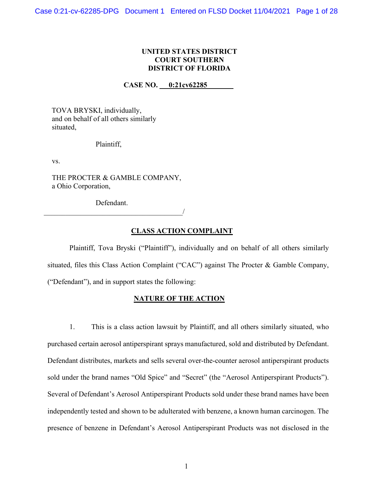# **UNITED STATES DISTRICT COURT SOUTHERN DISTRICT OF FLORIDA**

## **CASE NO. 0:21cv62285**

TOVA BRYSKI, individually, and on behalf of all others similarly situated,

#### Plaintiff,

vs.

THE PROCTER & GAMBLE COMPANY, a Ohio Corporation,

Defendant. \_\_\_\_\_\_\_\_\_\_\_\_\_\_\_\_\_\_\_\_\_\_\_\_\_\_\_\_\_\_\_\_\_\_\_\_\_\_/

#### **CLASS ACTION COMPLAINT**

Plaintiff, Tova Bryski ("Plaintiff"), individually and on behalf of all others similarly situated, files this Class Action Complaint ("CAC") against The Procter & Gamble Company, ("Defendant"), and in support states the following:

#### **NATURE OF THE ACTION**

1. This is a class action lawsuit by Plaintiff, and all others similarly situated, who purchased certain aerosol antiperspirant sprays manufactured, sold and distributed by Defendant. Defendant distributes, markets and sells several over-the-counter aerosol antiperspirant products sold under the brand names "Old Spice" and "Secret" (the "Aerosol Antiperspirant Products"). Several of Defendant's Aerosol Antiperspirant Products sold under these brand names have been independently tested and shown to be adulterated with benzene, a known human carcinogen. The presence of benzene in Defendant's Aerosol Antiperspirant Products was not disclosed in the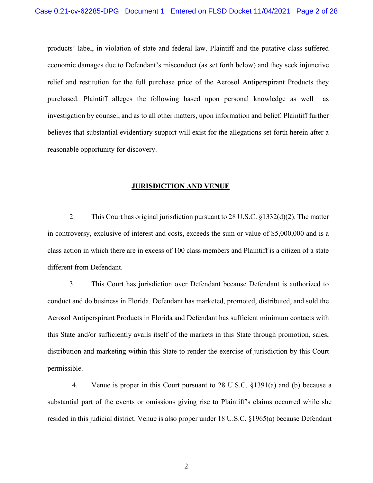products' label, in violation of state and federal law. Plaintiff and the putative class suffered economic damages due to Defendant's misconduct (as set forth below) and they seek injunctive relief and restitution for the full purchase price of the Aerosol Antiperspirant Products they purchased. Plaintiff alleges the following based upon personal knowledge as well as investigation by counsel, and as to all other matters, upon information and belief. Plaintiff further believes that substantial evidentiary support will exist for the allegations set forth herein after a reasonable opportunity for discovery.

#### **JURISDICTION AND VENUE**

2. This Court has original jurisdiction pursuant to 28 U.S.C. §1332(d)(2). The matter in controversy, exclusive of interest and costs, exceeds the sum or value of \$5,000,000 and is a class action in which there are in excess of 100 class members and Plaintiff is a citizen of a state different from Defendant.

3. This Court has jurisdiction over Defendant because Defendant is authorized to conduct and do business in Florida. Defendant has marketed, promoted, distributed, and sold the Aerosol Antiperspirant Products in Florida and Defendant has sufficient minimum contacts with this State and/or sufficiently avails itself of the markets in this State through promotion, sales, distribution and marketing within this State to render the exercise of jurisdiction by this Court permissible.

4. Venue is proper in this Court pursuant to 28 U.S.C. §1391(a) and (b) because a substantial part of the events or omissions giving rise to Plaintiff's claims occurred while she resided in this judicial district. Venue is also proper under 18 U.S.C. §1965(a) because Defendant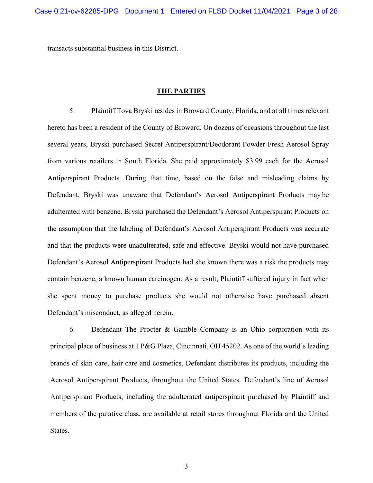transacts substantial business in this District.

#### **THE PARTIES**

5. Plaintiff Tova Bryski resides in Broward County, Florida, and at all times relevant hereto has been a resident of the County of Broward. On dozens of occasions throughout the last several years, Bryski purchased Secret Antiperspirant/Deodorant Powder Fresh Aerosol Spray from various retailers in South Florida. She paid approximately \$3.99 each for the Aerosol Antiperspirant Products. During that time, based on the false and misleading claims by Defendant, Bryski was unaware that Defendant's Aerosol Antiperspirant Products may be adulterated with benzene. Bryski purchased the Defendant's Aerosol Antiperspirant Products on the assumption that the labeling of Defendant's Aerosol Antiperspirant Products was accurate and that the products were unadulterated, safe and effective. Bryski would not have purchased Defendant's Aerosol Antiperspirant Products had she known there was a risk the products may contain benzene, a known human carcinogen. As a result, Plaintiff suffered injury in fact when she spent money to purchase products she would not otherwise have purchased absent Defendant's misconduct, as alleged herein.

6. Defendant The Procter & Gamble Company is an Ohio corporation with its principal place of business at 1 P&G Plaza, Cincinnati, OH 45202. As one of the world's leading brands of skin care, hair care and cosmetics, Defendant distributes its products, including the Aerosol Antiperspirant Products, throughout the United States. Defendant's line of Aerosol Antiperspirant Products, including the adulterated antiperspirant purchased by Plaintiff and members of the putative class, are available at retail stores throughout Florida and the United States.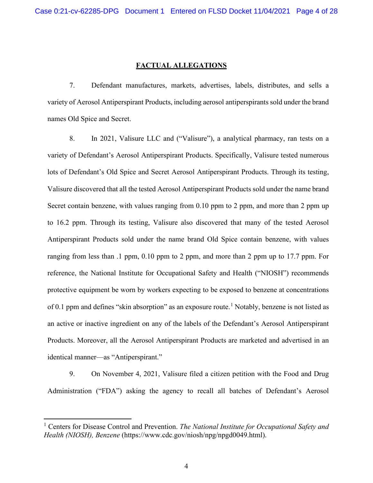#### **FACTUAL ALLEGATIONS**

7. Defendant manufactures, markets, advertises, labels, distributes, and sells a variety of Aerosol Antiperspirant Products, including aerosol antiperspirants sold under the brand names Old Spice and Secret.

8. In 2021, Valisure LLC and ("Valisure"), a analytical pharmacy, ran tests on a variety of Defendant's Aerosol Antiperspirant Products. Specifically, Valisure tested numerous lots of Defendant's Old Spice and Secret Aerosol Antiperspirant Products. Through its testing, Valisure discovered that all the tested Aerosol Antiperspirant Products sold under the name brand Secret contain benzene, with values ranging from 0.10 ppm to 2 ppm, and more than 2 ppm up to 16.2 ppm. Through its testing, Valisure also discovered that many of the tested Aerosol Antiperspirant Products sold under the name brand Old Spice contain benzene, with values ranging from less than .1 ppm, 0.10 ppm to 2 ppm, and more than 2 ppm up to 17.7 ppm. For reference, the National Institute for Occupational Safety and Health ("NIOSH") recommends protective equipment be worn by workers expecting to be exposed to benzene at concentrations of 0.[1](#page-3-0) ppm and defines "skin absorption" as an exposure route.<sup>1</sup> Notably, benzene is not listed as an active or inactive ingredient on any of the labels of the Defendant's Aerosol Antiperspirant Products. Moreover, all the Aerosol Antiperspirant Products are marketed and advertised in an identical manner—as "Antiperspirant."

9. On November 4, 2021, Valisure filed a citizen petition with the Food and Drug Administration ("FDA") asking the agency to recall all batches of Defendant's Aerosol

<span id="page-3-0"></span><sup>1</sup> Centers for Disease Control and Prevention. *The National Institute for Occupational Safety and Health (NIOSH), Benzene* (https:/[/www.cdc.gov/niosh/npg/npgd0049.html\).](http://www.cdc.gov/niosh/npg/npgd0049.html))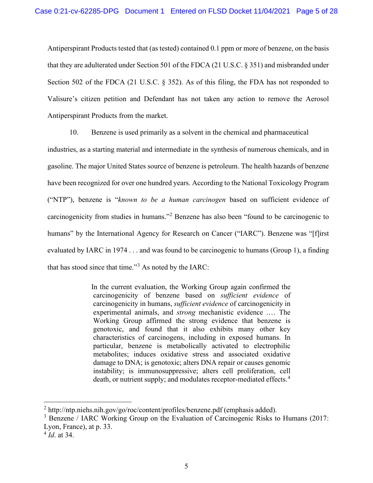Antiperspirant Products tested that (as tested) contained 0.1 ppm or more of benzene, on the basis that they are adulterated under Section 501 of the FDCA (21 U.S.C. § 351) and misbranded under Section 502 of the FDCA (21 U.S.C. § 352). As of this filing, the FDA has not responded to Valisure's citizen petition and Defendant has not taken any action to remove the Aerosol Antiperspirant Products from the market.

10. Benzene is used primarily as a solvent in the chemical and pharmaceutical

industries, as a starting material and intermediate in the synthesis of numerous chemicals, and in gasoline. The major United States source of benzene is petroleum. The health hazards of benzene have been recognized for over one hundred years. According to the National Toxicology Program ("NTP"), benzene is "*known to be a human carcinogen* based on sufficient evidence of carcinogenicity from studies in humans."[2](#page-4-0) Benzene has also been "found to be carcinogenic to humans" by the International Agency for Research on Cancer ("IARC"). Benzene was "[f]irst evaluated by IARC in 1974 . . . and was found to be carcinogenic to humans (Group 1), a finding that has stood since that time."[3](#page-4-1) As noted by the IARC:

> In the current evaluation, the Working Group again confirmed the carcinogenicity of benzene based on *sufficient evidence* of carcinogenicity in humans, *sufficient evidence* of carcinogenicity in experimental animals, and *strong* mechanistic evidence .… The Working Group affirmed the strong evidence that benzene is genotoxic, and found that it also exhibits many other key characteristics of carcinogens, including in exposed humans. In particular, benzene is metabolically activated to electrophilic metabolites; induces oxidative stress and associated oxidative damage to DNA; is genotoxic; alters DNA repair or causes genomic instability; is immunosuppressive; alters cell proliferation, cell death, or nutrient supply; and modulates receptor-mediated effects.<sup>[4](#page-4-2)</sup>

<span id="page-4-0"></span> $^{2}$  <http://ntp.niehs.nih.gov/go/roc/content/profiles/benzene.pdf> (emphasis added).

<span id="page-4-1"></span><sup>&</sup>lt;sup>3</sup> Benzene / IARC Working Group on the Evaluation of Carcinogenic Risks to Humans (2017: Lyon, France), at p. 33.

<span id="page-4-2"></span><sup>4</sup> *Id*. at 34.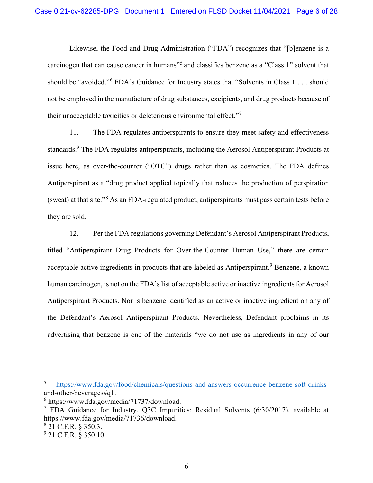Likewise, the Food and Drug Administration ("FDA") recognizes that "[b]enzene is a carcinogen that can cause cancer in humans<sup>"[5](#page-5-0)</sup> and classifies benzene as a "Class 1" solvent that should be "avoided."[6](#page-5-1) FDA's Guidance for Industry states that "Solvents in Class 1 . . . should not be employed in the manufacture of drug substances, excipients, and drug products because of their unacceptable toxicities or deleterious environmental effect."[7](#page-5-2)

11. The FDA regulates antiperspirants to ensure they meet safety and effectiveness standards.<sup>9</sup> The FDA regulates antiperspirants, including the Aerosol Antiperspirant Products at issue here, as over-the-counter ("OTC") drugs rather than as cosmetics. The FDA defines Antiperspirant as a "drug product applied topically that reduces the production of perspiration (sweat) at that site."[8](#page-5-3) As an FDA-regulated product, antiperspirants must pass certain tests before they are sold.

12. Per the FDA regulations governing Defendant's Aerosol Antiperspirant Products, titled "Antiperspirant Drug Products for Over-the-Counter Human Use," there are certain acceptable active ingredients in products that are labeled as Antiperspirant.<sup>[9](#page-5-4)</sup> Benzene, a known human carcinogen, is not on the FDA's list of acceptable active or inactive ingredients for Aerosol Antiperspirant Products. Nor is benzene identified as an active or inactive ingredient on any of the Defendant's Aerosol Antiperspirant Products. Nevertheless, Defendant proclaims in its advertising that benzene is one of the materials "we do not use as ingredients in any of our

<span id="page-5-0"></span><sup>5</sup> [https://www.fda.gov/food/chemicals/questions-and-answers-occurrence-benzene-soft-drinks](https://www.fda.gov/food/chemicals/questions-and-answers-occurrence-benzene-soft-drinks-)[and-other-beverages#q1.](https://www.fda.gov/food/chemicals/questions-and-answers-occurrence-benzene-soft-drinks-and-other-beverages#q1)

<span id="page-5-1"></span><sup>6</sup> [https://www.fda.gov/media/71737/download.](https://www.fda.gov/media/71737/download)

<span id="page-5-2"></span><sup>&</sup>lt;sup>7</sup> FDA Guidance for Industry, O3C Impurities: Residual Solvents  $(6/30/2017)$ , available at [https://www.fda.gov/media/71736/download.](https://www.fda.gov/media/71736/download)

<span id="page-5-3"></span><sup>8</sup> 21 C.F.R. § 350.3.

<span id="page-5-4"></span><sup>&</sup>lt;sup>9</sup> 21 C.F.R. § 350.10.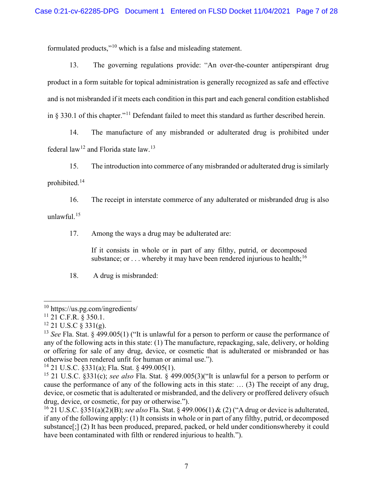formulated products,"[10](#page-6-0) which is a false and misleading statement.

13. The governing regulations provide: "An over-the-counter antiperspirant drug product in a form suitable for topical administration is generally recognized as safe and effective and is not misbranded if it meets each condition in this part and each general condition established in  $\S$  330.1 of this chapter."<sup>[11](#page-6-1)</sup> Defendant failed to meet this standard as further described herein.

14. The manufacture of any misbranded or adulterated drug is prohibited under federal  $law^{12}$  $law^{12}$  $law^{12}$  and Florida state law.<sup>[13](#page-6-3)</sup>

15. The introduction into commerce of any misbranded or adulterated drug is similarly

prohibited.[14](#page-6-4)

16. The receipt in interstate commerce of any adulterated or misbranded drug is also unlawful.[15](#page-6-5)

17. Among the ways a drug may be adulterated are:

If it consists in whole or in part of any filthy, putrid, or decomposed substance; or ... whereby it may have been rendered injurious to health;<sup>[16](#page-6-6)</sup>

18. A drug is misbranded:

<span id="page-6-0"></span><sup>10</sup> https://us.pg.com/ingredients/

<span id="page-6-1"></span> $11$  21 C.F.R. § 350.1.

<span id="page-6-2"></span> $12$  21 U.S.C  $\zeta$  331(g).

<span id="page-6-3"></span><sup>13</sup> *See* Fla. Stat. § 499.005(1) ("It is unlawful for a person to perform or cause the performance of any of the following acts in this state: (1) The manufacture, repackaging, sale, delivery, or holding or offering for sale of any drug, device, or cosmetic that is adulterated or misbranded or has otherwise been rendered unfit for human or animal use.").

<span id="page-6-4"></span><sup>&</sup>lt;sup>14</sup> 21 U.S.C. §331(a); Fla. Stat. § 499.005(1).

<span id="page-6-5"></span><sup>15</sup> 21 U.S.C. §331(c); *see also* Fla. Stat. § 499.005(3)("It is unlawful for a person to perform or cause the performance of any of the following acts in this state: … (3) The receipt of any drug, device, or cosmetic that is adulterated or misbranded, and the delivery or proffered delivery ofsuch drug, device, or cosmetic, for pay or otherwise.").

<span id="page-6-6"></span><sup>16</sup> 21 U.S.C. §351(a)(2)(B); *see also* Fla. Stat. § 499.006(1) & (2) ("A drug or device is adulterated, if any of the following apply: (1) It consists in whole or in part of any filthy, putrid, or decomposed substance[;] (2) It has been produced, prepared, packed, or held under conditionswhereby it could have been contaminated with filth or rendered injurious to health.").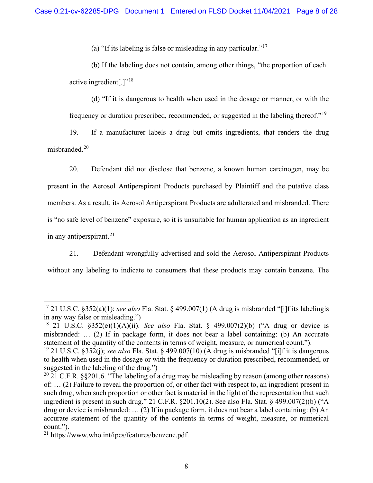(a) "If its labeling is false or misleading in any particular."[17](#page-7-0)

(b) If the labeling does not contain, among other things, "the proportion of each active ingredient $[.]^{v18}$  $[.]^{v18}$  $[.]^{v18}$ 

(d) "If it is dangerous to health when used in the dosage or manner, or with the frequency or duration prescribed, recommended, or suggested in the labeling thereof."[19](#page-7-2)

19. If a manufacturer labels a drug but omits ingredients, that renders the drug misbranded.<sup>[20](#page-7-3)</sup>

20. Defendant did not disclose that benzene, a known human carcinogen, may be present in the Aerosol Antiperspirant Products purchased by Plaintiff and the putative class members. As a result, its Aerosol Antiperspirant Products are adulterated and misbranded. There is "no safe level of benzene" exposure, so it is unsuitable for human application as an ingredient in any antiperspirant.<sup>[21](#page-7-4)</sup>

21. Defendant wrongfully advertised and sold the Aerosol Antiperspirant Products without any labeling to indicate to consumers that these products may contain benzene. The

<span id="page-7-0"></span><sup>17</sup> 21 U.S.C. §352(a)(1); *see also* Fla. Stat. § 499.007(1) (A drug is misbranded "[i]f its labelingis in any way false or misleading.")

<span id="page-7-1"></span><sup>18</sup> 21 U.S.C. §352(e)(1)(A)(ii). *See also* Fla. Stat. § 499.007(2)(b) ("A drug or device is misbranded: … (2) If in package form, it does not bear a label containing: (b) An accurate statement of the quantity of the contents in terms of weight, measure, or numerical count.").

<span id="page-7-2"></span><sup>19</sup> 21 U.S.C. §352(j); *see also* Fla. Stat. § 499.007(10) (A drug is misbranded "[i]f it is dangerous to health when used in the dosage or with the frequency or duration prescribed, recommended, or suggested in the labeling of the drug.")

<span id="page-7-3"></span><sup>&</sup>lt;sup>20</sup> 21 C.F.R. §§201.6. "The labeling of a drug may be misleading by reason (among other reasons) of: … (2) Failure to reveal the proportion of, or other fact with respect to, an ingredient present in such drug, when such proportion or other fact is material in the light of the representation that such ingredient is present in such drug." 21 C.F.R. §201.10(2). See also Fla. Stat. § 499.007(2)(b) ("A drug or device is misbranded: … (2) If in package form, it does not bear a label containing: (b) An accurate statement of the quantity of the contents in terms of weight, measure, or numerical count.").

<span id="page-7-4"></span><sup>21</sup> https://www.who.int/ipcs/features/benzene.pdf.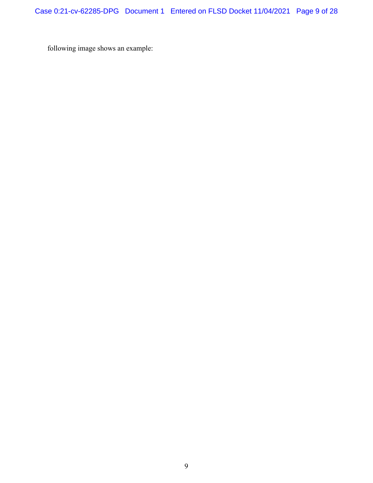following image shows an example: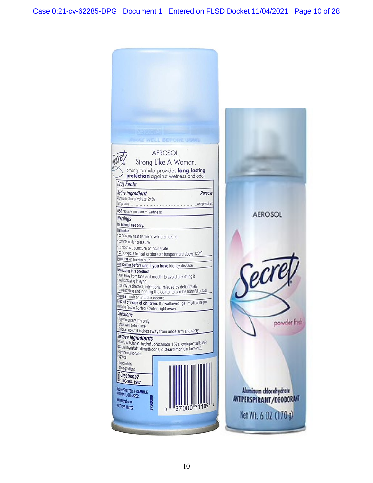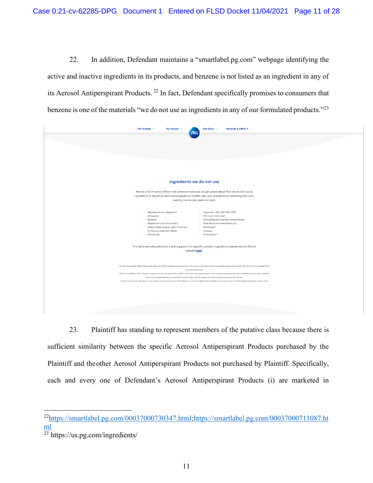22. In addition, Defendant maintains a "smartlabel.pg.com" webpage identifying the active and inactive ingredients in its products, and benzene is not listed as an ingredient in any of its Aerosol Antiperspirant Products. [22](#page-10-0) In fact, Defendant specifically promises to consumers that benzene is one of the materials "we do not use as ingredients in any of our formulated products."<sup>[23](#page-10-1)</sup>

| <b>Rewards &amp; Offers 7</b><br>Our Brands $\sim$<br>Our Story $\sim$<br>Our Impact $\sim$<br><b>P&amp;G</b>                                                                                                                                                                                                                                                                                                                                                                                                                                                                                                                                                                                                                                                           |  |  |  |  |  |
|-------------------------------------------------------------------------------------------------------------------------------------------------------------------------------------------------------------------------------------------------------------------------------------------------------------------------------------------------------------------------------------------------------------------------------------------------------------------------------------------------------------------------------------------------------------------------------------------------------------------------------------------------------------------------------------------------------------------------------------------------------------------------|--|--|--|--|--|
|                                                                                                                                                                                                                                                                                                                                                                                                                                                                                                                                                                                                                                                                                                                                                                         |  |  |  |  |  |
|                                                                                                                                                                                                                                                                                                                                                                                                                                                                                                                                                                                                                                                                                                                                                                         |  |  |  |  |  |
| Ingredients we do not use                                                                                                                                                                                                                                                                                                                                                                                                                                                                                                                                                                                                                                                                                                                                               |  |  |  |  |  |
| Here is a list of some of the most common materials we get asked about that we do not use as<br>ingredients in any of our formulated products (health care, skin and personal cleansing, hair care,<br>laundry, home care, and oral care):                                                                                                                                                                                                                                                                                                                                                                                                                                                                                                                              |  |  |  |  |  |
| · Alkylphenols and alkylphenol<br>· Organotins (TBT, DBT, MBT, DOT)<br>· PVC (not in formulas*)<br>ethoxylates<br>Benzene<br>· PAHs (Polycyclic aromatic hydrocarbons)<br>$\sim$<br>· PCBs (Polychlorinated biphenyls)<br>Bisphenol A (not in formulas*)<br>$\sim$<br>· Heavy metals: Arsenic, Lead, Chromium<br>· Phthalates**<br>VI, Mercury, Cadmium, Nickel<br>· Triclosan<br>· Microbeads<br>· Triclocarban**                                                                                                                                                                                                                                                                                                                                                      |  |  |  |  |  |
| This list is not exhaustive but a starting point. For specific product ingredients, please see the Brand<br>website here.                                                                                                                                                                                                                                                                                                                                                                                                                                                                                                                                                                                                                                               |  |  |  |  |  |
| We have strict product safety limits in place when any of these materials could be found in tiny amounts due to their natural (or background) presence in water, the environment, or as part of the<br>manufacturing process.<br>* We do not use BPA or PVC in any of our product formulas. Our use of PVC and BPA is restricted to very small amounts in some product packaging like pressurized aerosol cans or electrical devices<br>where their unique performance is essential for product safety. We will consider new material options as soon as they do arise.<br>** We do not use these ingredients in new products and are exiting them. More details on our exit timings for these materials can be found in the Common Ingredient Questions section above. |  |  |  |  |  |
|                                                                                                                                                                                                                                                                                                                                                                                                                                                                                                                                                                                                                                                                                                                                                                         |  |  |  |  |  |

23. Plaintiff has standing to represent members of the putative class because there is sufficient similarity between the specific Aerosol Antiperspirant Products purchased by the Plaintiff and the other Aerosol Antiperspirant Products not purchased by Plaintiff. Specifically, each and every one of Defendant's Aerosol Antiperspirant Products (i) are marketed in

<span id="page-10-0"></span><sup>2</sup>[2https://smartlabel.pg.com/00037000730347.html](https://smartlabel.pg.com/00037000730347.html)[;https://smartlabel.pg.com/00037000711087.ht](https://smartlabel.pg.com/00037000711087.html) [ml](https://smartlabel.pg.com/00037000711087.html)

<span id="page-10-1"></span><sup>&</sup>lt;sup>23</sup> https://us.pg.com/ingredients/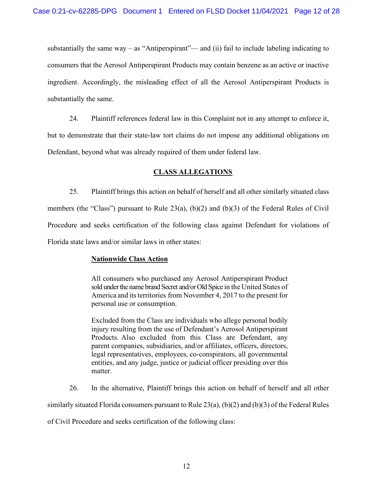substantially the same way – as "Antiperspirant"— and (ii) fail to include labeling indicating to consumers that the Aerosol Antiperspirant Products may contain benzene as an active or inactive ingredient. Accordingly, the misleading effect of all the Aerosol Antiperspirant Products is substantially the same.

24. Plaintiff references federal law in this Complaint not in any attempt to enforce it, but to demonstrate that their state-law tort claims do not impose any additional obligations on Defendant, beyond what was already required of them under federal law.

#### **CLASS ALLEGATIONS**

25. Plaintiff brings this action on behalf of herself and all other similarly situated class members (the "Class") pursuant to Rule 23(a), (b)(2) and (b)(3) of the Federal Rules of Civil Procedure and seeks certification of the following class against Defendant for violations of Florida state laws and/or similar laws in other states:

#### **Nationwide Class Action**

All consumers who purchased any Aerosol Antiperspirant Product sold under the name brand Secret and/or Old Spice in the United States of America and its territories from November 4, 2017 to the present for personal use or consumption.

Excluded from the Class are individuals who allege personal bodily injury resulting from the use of Defendant's Aerosol Antiperspirant Products. Also excluded from this Class are Defendant, any parent companies, subsidiaries, and/or affiliates, officers, directors, legal representatives, employees, co-conspirators, all governmental entities, and any judge, justice or judicial officer presiding over this matter.

26. In the alternative, Plaintiff brings this action on behalf of herself and all other

similarly situated Florida consumers pursuant to Rule 23(a), (b)(2) and (b)(3) of the Federal Rules

of Civil Procedure and seeks certification of the following class: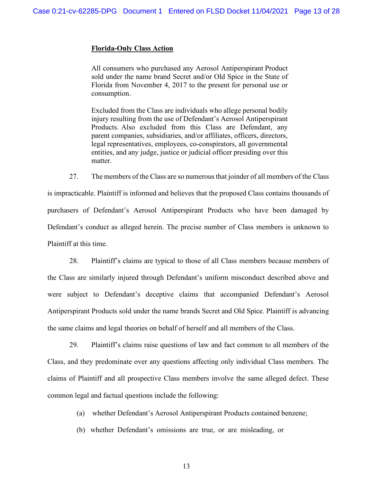#### **Florida-Only Class Action**

All consumers who purchased any Aerosol Antiperspirant Product sold under the name brand Secret and/or Old Spice in the State of Florida from November 4, 2017 to the present for personal use or consumption.

Excluded from the Class are individuals who allege personal bodily injury resulting from the use of Defendant's Aerosol Antiperspirant Products. Also excluded from this Class are Defendant, any parent companies, subsidiaries, and/or affiliates, officers, directors, legal representatives, employees, co-conspirators, all governmental entities, and any judge, justice or judicial officer presiding over this matter.

27. The members of the Class are so numerous that joinder of all members of the Class is impracticable. Plaintiff is informed and believes that the proposed Class contains thousands of purchasers of Defendant's Aerosol Antiperspirant Products who have been damaged by Defendant's conduct as alleged herein. The precise number of Class members is unknown to Plaintiff at this time.

28. Plaintiff's claims are typical to those of all Class members because members of the Class are similarly injured through Defendant's uniform misconduct described above and were subject to Defendant's deceptive claims that accompanied Defendant's Aerosol Antiperspirant Products sold under the name brands Secret and Old Spice. Plaintiff is advancing the same claims and legal theories on behalf of herself and all members of the Class.

29. Plaintiff's claims raise questions of law and fact common to all members of the Class, and they predominate over any questions affecting only individual Class members. The claims of Plaintiff and all prospective Class members involve the same alleged defect. These common legal and factual questions include the following:

(a) whether Defendant's Aerosol Antiperspirant Products contained benzene;

(b) whether Defendant's omissions are true, or are misleading, or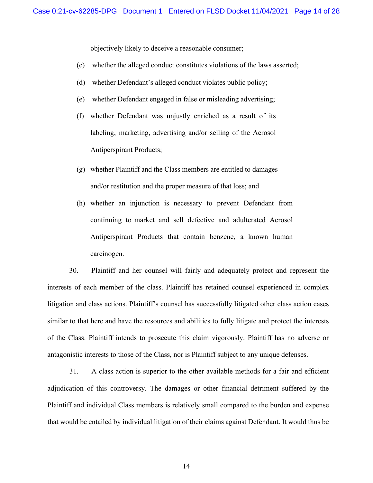objectively likely to deceive a reasonable consumer;

- (c) whether the alleged conduct constitutes violations of the laws asserted;
- (d) whether Defendant's alleged conduct violates public policy;
- (e) whether Defendant engaged in false or misleading advertising;
- (f) whether Defendant was unjustly enriched as a result of its labeling, marketing, advertising and/or selling of the Aerosol Antiperspirant Products;
- (g) whether Plaintiff and the Class members are entitled to damages and/or restitution and the proper measure of that loss; and
- (h) whether an injunction is necessary to prevent Defendant from continuing to market and sell defective and adulterated Aerosol Antiperspirant Products that contain benzene, a known human carcinogen.

30. Plaintiff and her counsel will fairly and adequately protect and represent the interests of each member of the class. Plaintiff has retained counsel experienced in complex litigation and class actions. Plaintiff's counsel has successfully litigated other class action cases similar to that here and have the resources and abilities to fully litigate and protect the interests of the Class. Plaintiff intends to prosecute this claim vigorously. Plaintiff has no adverse or antagonistic interests to those of the Class, nor is Plaintiff subject to any unique defenses.

31. A class action is superior to the other available methods for a fair and efficient adjudication of this controversy. The damages or other financial detriment suffered by the Plaintiff and individual Class members is relatively small compared to the burden and expense that would be entailed by individual litigation of their claims against Defendant. It would thus be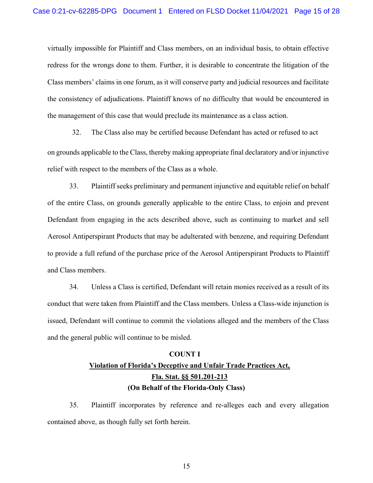virtually impossible for Plaintiff and Class members, on an individual basis, to obtain effective redress for the wrongs done to them. Further, it is desirable to concentrate the litigation of the Class members' claims in one forum, as it will conserve party and judicial resources and facilitate the consistency of adjudications. Plaintiff knows of no difficulty that would be encountered in the management of this case that would preclude its maintenance as a class action.

32. The Class also may be certified because Defendant has acted or refused to act

on grounds applicable to the Class, thereby making appropriate final declaratory and/or injunctive relief with respect to the members of the Class as a whole.

33. Plaintiff seeks preliminary and permanent injunctive and equitable relief on behalf of the entire Class, on grounds generally applicable to the entire Class, to enjoin and prevent Defendant from engaging in the acts described above, such as continuing to market and sell Aerosol Antiperspirant Products that may be adulterated with benzene, and requiring Defendant to provide a full refund of the purchase price of the Aerosol Antiperspirant Products to Plaintiff and Class members.

34. Unless a Class is certified, Defendant will retain monies received as a result of its conduct that were taken from Plaintiff and the Class members. Unless a Class-wide injunction is issued, Defendant will continue to commit the violations alleged and the members of the Class and the general public will continue to be misled.

# **COUNT I Violation of Florida's Deceptive and Unfair Trade Practices Act, Fla. Stat. §§ 501.201-213 (On Behalf of the Florida-Only Class)**

35. Plaintiff incorporates by reference and re-alleges each and every allegation contained above, as though fully set forth herein.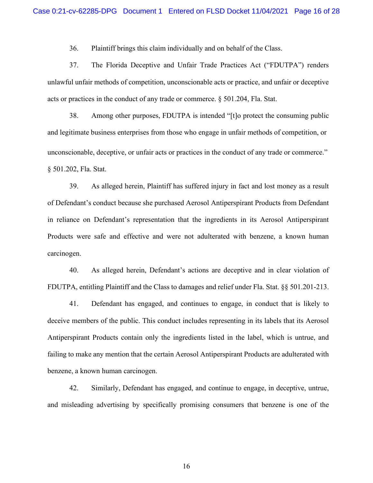36. Plaintiff brings this claim individually and on behalf of the Class.

37. The Florida Deceptive and Unfair Trade Practices Act ("FDUTPA") renders unlawful unfair methods of competition, unconscionable acts or practice, and unfair or deceptive acts or practices in the conduct of any trade or commerce. § 501.204, Fla. Stat.

38. Among other purposes, FDUTPA is intended "[t]o protect the consuming public and legitimate business enterprises from those who engage in unfair methods of competition, or unconscionable, deceptive, or unfair acts or practices in the conduct of any trade or commerce." § 501.202, Fla. Stat.

39. As alleged herein, Plaintiff has suffered injury in fact and lost money as a result of Defendant's conduct because she purchased Aerosol Antiperspirant Products from Defendant in reliance on Defendant's representation that the ingredients in its Aerosol Antiperspirant Products were safe and effective and were not adulterated with benzene, a known human carcinogen.

40. As alleged herein, Defendant's actions are deceptive and in clear violation of FDUTPA, entitling Plaintiff and the Class to damages and relief under Fla. Stat. §§ 501.201-213.

41. Defendant has engaged, and continues to engage, in conduct that is likely to deceive members of the public. This conduct includes representing in its labels that its Aerosol Antiperspirant Products contain only the ingredients listed in the label, which is untrue, and failing to make any mention that the certain Aerosol Antiperspirant Products are adulterated with benzene, a known human carcinogen.

42. Similarly, Defendant has engaged, and continue to engage, in deceptive, untrue, and misleading advertising by specifically promising consumers that benzene is one of the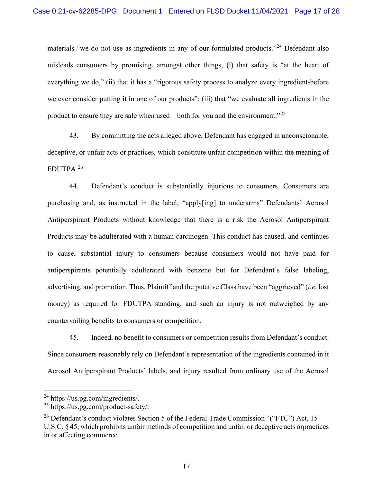materials "we do not use as ingredients in any of our formulated products."<sup>[24](#page-16-0)</sup> Defendant also misleads consumers by promising, amongst other things, (i) that safety is "at the heart of everything we do," (ii) that it has a "rigorous safety process to analyze every ingredient-before we ever consider putting it in one of our products"; (iii) that "we evaluate all ingredients in the product to ensure they are safe when used – both for you and the environment."<sup>[25](#page-16-1)</sup>

43. By committing the acts alleged above, Defendant has engaged in unconscionable, deceptive, or unfair acts or practices, which constitute unfair competition within the meaning of FDUTPA.[26](#page-16-2)

44. Defendant's conduct is substantially injurious to consumers. Consumers are purchasing and, as instructed in the label, "apply[ing] to underarms" Defendants' Aerosol Antiperspirant Products without knowledge that there is a risk the Aerosol Antiperspirant Products may be adulterated with a human carcinogen. This conduct has caused, and continues to cause, substantial injury to consumers because consumers would not have paid for antiperspirants potentially adulterated with benzene but for Defendant's false labeling, advertising, and promotion. Thus, Plaintiff and the putative Class have been "aggrieved" (*i.e.* lost money) as required for FDUTPA standing, and such an injury is not outweighed by any countervailing benefits to consumers or competition.

45. Indeed, no benefit to consumers or competition results from Defendant's conduct. Since consumers reasonably rely on Defendant's representation of the ingredients contained in it Aerosol Antiperspirant Products' labels, and injury resulted from ordinary use of the Aerosol

<span id="page-16-0"></span><sup>24</sup> https://us.pg.com/ingredients/.

<span id="page-16-1"></span><sup>25</sup> https://us.pg.com/product-safety/.

<span id="page-16-2"></span><sup>&</sup>lt;sup>26</sup> Defendant's conduct violates Section 5 of the Federal Trade Commission "("FTC") Act, 15 U.S.C. § 45, which prohibits unfair methods of competition and unfair or deceptive acts orpractices in or affecting commerce.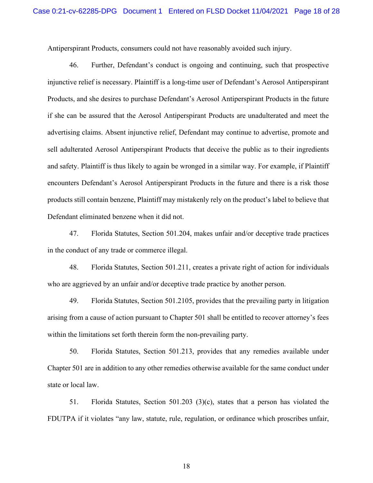Antiperspirant Products, consumers could not have reasonably avoided such injury.

46. Further, Defendant's conduct is ongoing and continuing, such that prospective injunctive relief is necessary. Plaintiff is a long-time user of Defendant's Aerosol Antiperspirant Products, and she desires to purchase Defendant's Aerosol Antiperspirant Products in the future if she can be assured that the Aerosol Antiperspirant Products are unadulterated and meet the advertising claims. Absent injunctive relief, Defendant may continue to advertise, promote and sell adulterated Aerosol Antiperspirant Products that deceive the public as to their ingredients and safety. Plaintiff is thus likely to again be wronged in a similar way. For example, if Plaintiff encounters Defendant's Aerosol Antiperspirant Products in the future and there is a risk those products still contain benzene, Plaintiff may mistakenly rely on the product's label to believe that Defendant eliminated benzene when it did not.

47. Florida Statutes, Section 501.204, makes unfair and/or deceptive trade practices in the conduct of any trade or commerce illegal.

48. Florida Statutes, Section 501.211, creates a private right of action for individuals who are aggrieved by an unfair and/or deceptive trade practice by another person.

49. Florida Statutes, Section 501.2105, provides that the prevailing party in litigation arising from a cause of action pursuant to Chapter 501 shall be entitled to recover attorney's fees within the limitations set forth therein form the non-prevailing party.

50. Florida Statutes, Section 501.213, provides that any remedies available under Chapter 501 are in addition to any other remedies otherwise available for the same conduct under state or local law.

51. Florida Statutes, Section 501.203 (3)(c), states that a person has violated the FDUTPA if it violates "any law, statute, rule, regulation, or ordinance which proscribes unfair,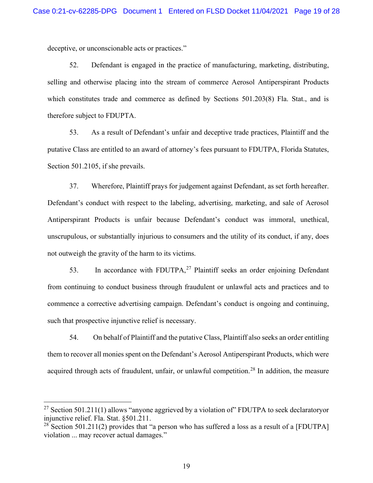deceptive, or unconscionable acts or practices."

52. Defendant is engaged in the practice of manufacturing, marketing, distributing, selling and otherwise placing into the stream of commerce Aerosol Antiperspirant Products which constitutes trade and commerce as defined by Sections 501.203(8) Fla. Stat., and is therefore subject to FDUPTA.

53. As a result of Defendant's unfair and deceptive trade practices, Plaintiff and the putative Class are entitled to an award of attorney's fees pursuant to FDUTPA, Florida Statutes, Section 501.2105, if she prevails.

37. Wherefore, Plaintiff prays for judgement against Defendant, as set forth hereafter. Defendant's conduct with respect to the labeling, advertising, marketing, and sale of Aerosol Antiperspirant Products is unfair because Defendant's conduct was immoral, unethical, unscrupulous, or substantially injurious to consumers and the utility of its conduct, if any, does not outweigh the gravity of the harm to its victims.

53. In accordance with FDUTPA,<sup>[27](#page-18-0)</sup> Plaintiff seeks an order enjoining Defendant from continuing to conduct business through fraudulent or unlawful acts and practices and to commence a corrective advertising campaign. Defendant's conduct is ongoing and continuing, such that prospective injunctive relief is necessary.

54. On behalf of Plaintiff and the putative Class, Plaintiff also seeks an order entitling them to recover all monies spent on the Defendant's Aerosol Antiperspirant Products, which were acquired through acts of fraudulent, unfair, or unlawful competition.<sup>[28](#page-18-1)</sup> In addition, the measure

<span id="page-18-0"></span><sup>&</sup>lt;sup>27</sup> Section 501.211(1) allows "anyone aggrieved by a violation of" FDUTPA to seek declaratoryor injunctive relief. Fla. Stat. §501.211.

<span id="page-18-1"></span><sup>&</sup>lt;sup>28</sup> Section 501.211(2) provides that "a person who has suffered a loss as a result of a [FDUTPA] violation ... may recover actual damages."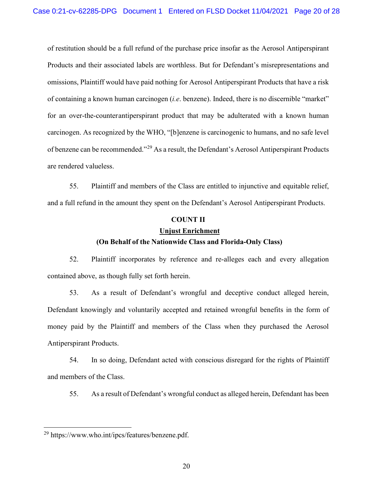of restitution should be a full refund of the purchase price insofar as the Aerosol Antiperspirant Products and their associated labels are worthless. But for Defendant's misrepresentations and omissions, Plaintiff would have paid nothing for Aerosol Antiperspirant Products that have a risk of containing a known human carcinogen (*i.e*. benzene). Indeed, there is no discernible "market" for an over-the-counterantiperspirant product that may be adulterated with a known human carcinogen. As recognized by the WHO, "[b]enzene is carcinogenic to humans, and no safe level of benzene can be recommended."[29](#page-19-0) As a result, the Defendant's Aerosol Antiperspirant Products are rendered valueless.

55. Plaintiff and members of the Class are entitled to injunctive and equitable relief, and a full refund in the amount they spent on the Defendant's Aerosol Antiperspirant Products.

#### **COUNT II**

# **Unjust Enrichment (On Behalf of the Nationwide Class and Florida-Only Class)**

52. Plaintiff incorporates by reference and re-alleges each and every allegation contained above, as though fully set forth herein.

53. As a result of Defendant's wrongful and deceptive conduct alleged herein, Defendant knowingly and voluntarily accepted and retained wrongful benefits in the form of money paid by the Plaintiff and members of the Class when they purchased the Aerosol Antiperspirant Products.

54. In so doing, Defendant acted with conscious disregard for the rights of Plaintiff and members of the Class.

55. As a result of Defendant's wrongful conduct as alleged herein, Defendant has been

<span id="page-19-0"></span><sup>29</sup> https://www.who.int/ipcs/features/benzene.pdf.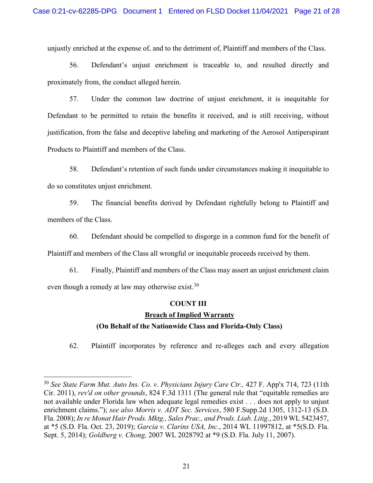unjustly enriched at the expense of, and to the detriment of, Plaintiff and members of the Class.

56. Defendant's unjust enrichment is traceable to, and resulted directly and proximately from, the conduct alleged herein.

57. Under the common law doctrine of unjust enrichment, it is inequitable for Defendant to be permitted to retain the benefits it received, and is still receiving, without justification, from the false and deceptive labeling and marketing of the Aerosol Antiperspirant Products to Plaintiff and members of the Class.

58. Defendant's retention of such funds under circumstances making it inequitable to do so constitutes unjust enrichment.

59. The financial benefits derived by Defendant rightfully belong to Plaintiff and members of the Class.

60. Defendant should be compelled to disgorge in a common fund for the benefit of Plaintiff and members of the Class all wrongful or inequitable proceeds received by them.

61. Finally, Plaintiff and members of the Class may assert an unjust enrichment claim even though a remedy at law may otherwise exist.<sup>[30](#page-20-0)</sup>

# **COUNT III**

# **Breach of Implied Warranty**

# **(On Behalf of the Nationwide Class and Florida-Only Class)**

62. Plaintiff incorporates by reference and re-alleges each and every allegation

<span id="page-20-0"></span><sup>30</sup> *See State Farm Mut. Auto Ins. Co. v. Physicians Injury Care Ctr.,* [427 F. App'x 714, 723 \(11th](https://1.next.westlaw.com/Link/Document/FullText?findType=Y&serNum=2025338477&pubNum=0006538&originatingDoc=I8452a290b01511e8a5d58a2c8dcb28b5&refType=RP&fi=co_pp_sp_6538_723&originationContext=document&transitionType=DocumentItem&contextData=(sc.Search)&co_pp_sp_6538_723) [Cir. 2011\),](https://1.next.westlaw.com/Link/Document/FullText?findType=Y&serNum=2025338477&pubNum=0006538&originatingDoc=I8452a290b01511e8a5d58a2c8dcb28b5&refType=RP&fi=co_pp_sp_6538_723&originationContext=document&transitionType=DocumentItem&contextData=(sc.Search)&co_pp_sp_6538_723) *rev'd on other grounds*, [824 F.3d 1311](https://1.next.westlaw.com/Link/Document/FullText?findType=Y&serNum=2039169801&pubNum=0000506&originatingDoc=I8452a290b01511e8a5d58a2c8dcb28b5&refType=RP&originationContext=document&transitionType=DocumentItem&contextData=(sc.Search)) (The general rule that "equitable remedies are not available under Florida law when adequate legal remedies exist . . . does not apply to unjust enrichment claims."); *see also Morris v. ADT Sec. Services*, 580 F.Supp.2d 1305, 1312-13 (S.D. Fla. 2008); *In re Monat Hair Prods. Mktg., Sales Prac., and Prods. Liab. Litig*., 2019 WL 5423457, at \*5 (S.D. Fla. Oct. 23, 2019); *Garcia v. Clarins USA, Inc.*[, 2014 WL 11997812, at \\*5\(S.D.](https://1.next.westlaw.com/Link/Document/FullText?findType=Y&serNum=2039454157&pubNum=0000999&originatingDoc=I8452a290b01511e8a5d58a2c8dcb28b5&refType=RP&originationContext=document&transitionType=DocumentItem&contextData=(sc.Search)) Fla. Sept. 5, [2014\);](https://1.next.westlaw.com/Link/Document/FullText?findType=Y&serNum=2039454157&pubNum=0000999&originatingDoc=I8452a290b01511e8a5d58a2c8dcb28b5&refType=RP&originationContext=document&transitionType=DocumentItem&contextData=(sc.Search)) *Goldberg v. Chong,* 2007 WL 2028792 at \*9 [\(S.D. Fla.](https://1.next.westlaw.com/Link/Document/FullText?findType=Y&serNum=2012711321&pubNum=0000999&originatingDoc=I753402be944511ddbc7bf97f340af743&refType=RP&originationContext=document&transitionType=DocumentItem&contextData=(sc.Search)) July 11, 2007).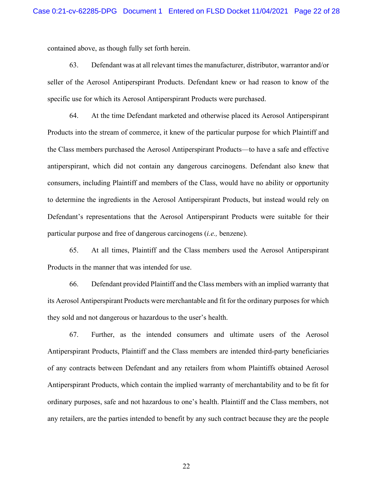contained above, as though fully set forth herein.

63. Defendant was at all relevant times the manufacturer, distributor, warrantor and/or seller of the Aerosol Antiperspirant Products. Defendant knew or had reason to know of the specific use for which its Aerosol Antiperspirant Products were purchased.

64. At the time Defendant marketed and otherwise placed its Aerosol Antiperspirant Products into the stream of commerce, it knew of the particular purpose for which Plaintiff and the Class members purchased the Aerosol Antiperspirant Products—to have a safe and effective antiperspirant, which did not contain any dangerous carcinogens. Defendant also knew that consumers, including Plaintiff and members of the Class, would have no ability or opportunity to determine the ingredients in the Aerosol Antiperspirant Products, but instead would rely on Defendant's representations that the Aerosol Antiperspirant Products were suitable for their particular purpose and free of dangerous carcinogens (*i.e.,* benzene).

65. At all times, Plaintiff and the Class members used the Aerosol Antiperspirant Products in the manner that was intended for use.

66. Defendant provided Plaintiff and the Class members with an implied warranty that its Aerosol Antiperspirant Products were merchantable and fit for the ordinary purposes for which they sold and not dangerous or hazardous to the user's health.

67. Further, as the intended consumers and ultimate users of the Aerosol Antiperspirant Products, Plaintiff and the Class members are intended third-party beneficiaries of any contracts between Defendant and any retailers from whom Plaintiffs obtained Aerosol Antiperspirant Products, which contain the implied warranty of merchantability and to be fit for ordinary purposes, safe and not hazardous to one's health. Plaintiff and the Class members, not any retailers, are the parties intended to benefit by any such contract because they are the people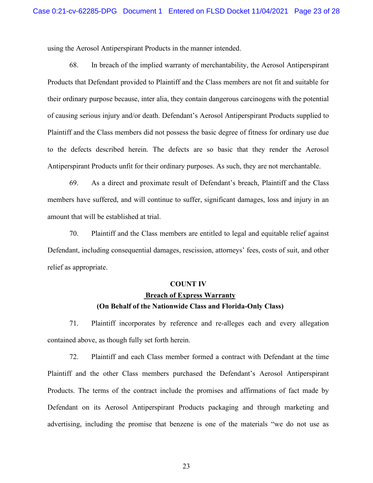using the Aerosol Antiperspirant Products in the manner intended.

68. In breach of the implied warranty of merchantability, the Aerosol Antiperspirant Products that Defendant provided to Plaintiff and the Class members are not fit and suitable for their ordinary purpose because, inter alia, they contain dangerous carcinogens with the potential of causing serious injury and/or death. Defendant's Aerosol Antiperspirant Products supplied to Plaintiff and the Class members did not possess the basic degree of fitness for ordinary use due to the defects described herein. The defects are so basic that they render the Aerosol Antiperspirant Products unfit for their ordinary purposes. As such, they are not merchantable.

69. As a direct and proximate result of Defendant's breach, Plaintiff and the Class members have suffered, and will continue to suffer, significant damages, loss and injury in an amount that will be established at trial.

70. Plaintiff and the Class members are entitled to legal and equitable relief against Defendant, including consequential damages, rescission, attorneys' fees, costs of suit, and other relief as appropriate.

#### **COUNT IV**

# **Breach of Express Warranty**

#### **(On Behalf of the Nationwide Class and Florida-Only Class)**

71. Plaintiff incorporates by reference and re-alleges each and every allegation contained above, as though fully set forth herein.

72. Plaintiff and each Class member formed a contract with Defendant at the time Plaintiff and the other Class members purchased the Defendant's Aerosol Antiperspirant Products. The terms of the contract include the promises and affirmations of fact made by Defendant on its Aerosol Antiperspirant Products packaging and through marketing and advertising, including the promise that benzene is one of the materials "we do not use as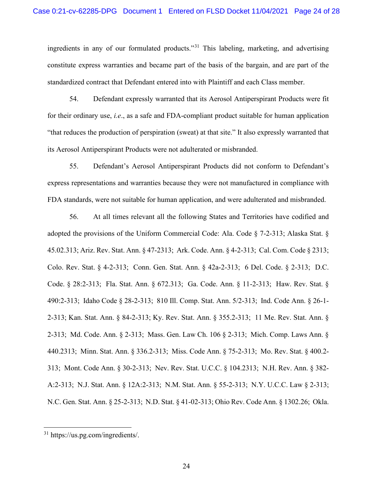ingredients in any of our formulated products."[31](#page-23-0) This labeling, marketing, and advertising constitute express warranties and became part of the basis of the bargain, and are part of the standardized contract that Defendant entered into with Plaintiff and each Class member.

54. Defendant expressly warranted that its Aerosol Antiperspirant Products were fit for their ordinary use, *i.e*., as a safe and FDA-compliant product suitable for human application "that reduces the production of perspiration (sweat) at that site." It also expressly warranted that its Aerosol Antiperspirant Products were not adulterated or misbranded.

55. Defendant's Aerosol Antiperspirant Products did not conform to Defendant's express representations and warranties because they were not manufactured in compliance with FDA standards, were not suitable for human application, and were adulterated and misbranded.

56. At all times relevant all the following States and Territories have codified and adopted the provisions of the Uniform Commercial Code: Ala. Code § 7-2-313; Alaska Stat. § 45.02.313; Ariz. Rev. Stat. Ann. § 47-2313; Ark. Code. Ann. § 4-2-313; Cal. Com. Code § 2313; Colo. Rev. Stat. § 4-2-313; Conn. Gen. Stat. Ann. § 42a-2-313; 6 Del. Code. § 2-313; D.C. Code. § 28:2-313; Fla. Stat. Ann. § 672.313; Ga. Code. Ann. § 11-2-313; Haw. Rev. Stat. § 490:2-313; Idaho Code § 28-2-313; 810 Ill. Comp. Stat. Ann. 5/2-313; Ind. Code Ann. § 26-1- 2-313; Kan. Stat. Ann. § 84-2-313; Ky. Rev. Stat. Ann. § 355.2-313; 11 Me. Rev. Stat. Ann. § 2-313; Md. Code. Ann. § 2-313; Mass. Gen. Law Ch. 106 § 2-313; Mich. Comp. Laws Ann. § 440.2313; Minn. Stat. Ann. § 336.2-313; Miss. Code Ann. § 75-2-313; Mo. Rev. Stat. § 400.2- 313; Mont. Code Ann. § 30-2-313; Nev. Rev. Stat. U.C.C. § 104.2313; N.H. Rev. Ann. § 382- A:2-313; N.J. Stat. Ann. § 12A:2-313; N.M. Stat. Ann. § 55-2-313; N.Y. U.C.C. Law § 2-313; N.C. Gen. Stat. Ann. § 25-2-313; N.D. Stat. § 41-02-313; Ohio Rev. Code Ann. § 1302.26; Okla.

<span id="page-23-0"></span><sup>31</sup> https://us.pg.com/ingredients/.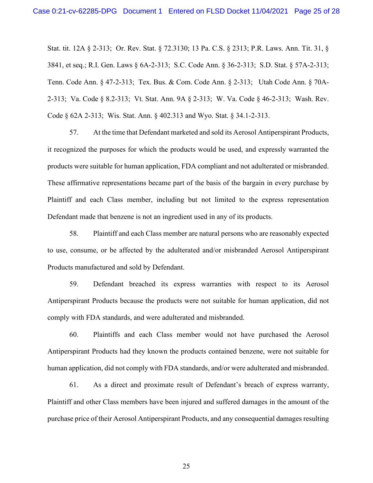Stat. tit. 12A § 2-313; Or. Rev. Stat. § 72.3130; 13 Pa. C.S. § 2313; P.R. Laws. Ann. Tit. 31, § 3841, et seq.; R.I. Gen. Laws § 6A-2-313; S.C. Code Ann. § 36-2-313; S.D. Stat. § 57A-2-313; Tenn. Code Ann. § 47-2-313; Tex. Bus. & Com. Code Ann. § 2-313; Utah Code Ann. § 70A-2-313; Va. Code § 8.2-313; Vt. Stat. Ann. 9A § 2-313; W. Va. Code § 46-2-313; Wash. Rev. Code § 62A 2-313; Wis. Stat. Ann. § 402.313 and Wyo. Stat. § 34.1-2-313.

57. At the time that Defendant marketed and sold its Aerosol Antiperspirant Products, it recognized the purposes for which the products would be used, and expressly warranted the products were suitable for human application, FDA compliant and not adulterated or misbranded. These affirmative representations became part of the basis of the bargain in every purchase by Plaintiff and each Class member, including but not limited to the express representation Defendant made that benzene is not an ingredient used in any of its products.

58. Plaintiff and each Class member are natural persons who are reasonably expected to use, consume, or be affected by the adulterated and/or misbranded Aerosol Antiperspirant Products manufactured and sold by Defendant.

59. Defendant breached its express warranties with respect to its Aerosol Antiperspirant Products because the products were not suitable for human application, did not comply with FDA standards, and were adulterated and misbranded.

60. Plaintiffs and each Class member would not have purchased the Aerosol Antiperspirant Products had they known the products contained benzene, were not suitable for human application, did not comply with FDA standards, and/or were adulterated and misbranded.

61. As a direct and proximate result of Defendant's breach of express warranty, Plaintiff and other Class members have been injured and suffered damages in the amount of the purchase price of their Aerosol Antiperspirant Products, and any consequential damages resulting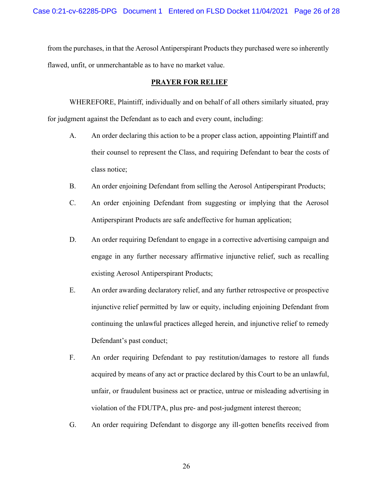from the purchases, in that the Aerosol Antiperspirant Products they purchased were so inherently flawed, unfit, or unmerchantable as to have no market value.

## **PRAYER FOR RELIEF**

WHEREFORE, Plaintiff, individually and on behalf of all others similarly situated, pray for judgment against the Defendant as to each and every count, including:

- A. An order declaring this action to be a proper class action, appointing Plaintiff and their counsel to represent the Class, and requiring Defendant to bear the costs of class notice;
- B. An order enjoining Defendant from selling the Aerosol Antiperspirant Products;
- C. An order enjoining Defendant from suggesting or implying that the Aerosol Antiperspirant Products are safe andeffective for human application;
- D. An order requiring Defendant to engage in a corrective advertising campaign and engage in any further necessary affirmative injunctive relief, such as recalling existing Aerosol Antiperspirant Products;
- E. An order awarding declaratory relief, and any further retrospective or prospective injunctive relief permitted by law or equity, including enjoining Defendant from continuing the unlawful practices alleged herein, and injunctive relief to remedy Defendant's past conduct;
- F. An order requiring Defendant to pay restitution/damages to restore all funds acquired by means of any act or practice declared by this Court to be an unlawful, unfair, or fraudulent business act or practice, untrue or misleading advertising in violation of the FDUTPA, plus pre- and post-judgment interest thereon;
- G. An order requiring Defendant to disgorge any ill-gotten benefits received from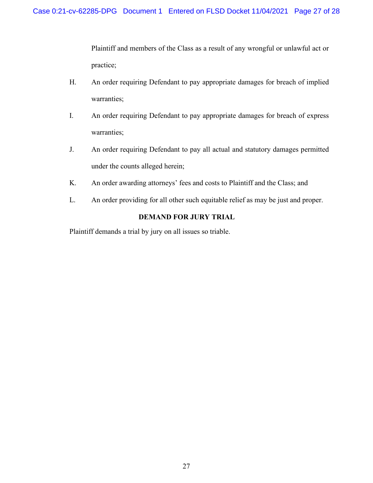Plaintiff and members of the Class as a result of any wrongful or unlawful act or practice;

- H. An order requiring Defendant to pay appropriate damages for breach of implied warranties;
- I. An order requiring Defendant to pay appropriate damages for breach of express warranties;
- J. An order requiring Defendant to pay all actual and statutory damages permitted under the counts alleged herein;
- K. An order awarding attorneys' fees and costs to Plaintiff and the Class; and
- L. An order providing for all other such equitable relief as may be just and proper.

# **DEMAND FOR JURY TRIAL**

Plaintiff demands a trial by jury on all issues so triable.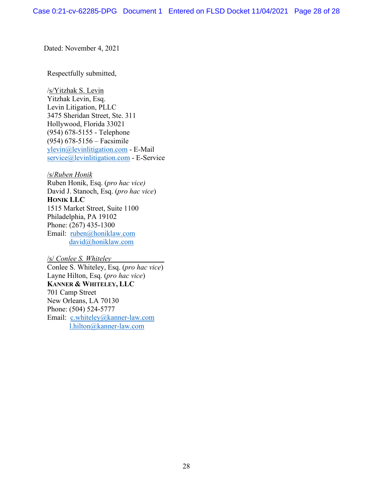Dated: November 4, 2021

Respectfully submitted,

/s/Yitzhak S. Levin Yitzhak Levin, Esq. Levin Litigation, PLLC 3475 Sheridan Street, Ste. 311 Hollywood, Florida 33021 (954) 678-5155 - Telephone (954) 678-5156 – Facsimile [ylevin@levinlitigation.com](mailto:ylevin@levinlitigation.com) - E-Mail [service@levinlitigation.com](mailto:service@levinlitigation.com) - E-Service

/s/*Ruben Honik*

Ruben Honik, Esq. (*pro hac vice)* David J. Stanoch, Esq. (*pro hac vice*) **HONIK LLC** 1515 Market Street, Suite 1100 Philadelphia, PA 19102 Phone: (267) 435-1300 Email: [ruben@honiklaw.com](mailto:ruben@honiklaw.com) [david@honiklaw.com](mailto:david@honiklaw.com)

/s/ *Conlee S. Whiteley* Conlee S. Whiteley, Esq. (*pro hac vice*) Layne Hilton, Esq. (*pro hac vice*) **KANNER & WHITELEY, LLC** 701 Camp Street New Orleans, LA 70130 Phone: (504) 524-5777 Email: [c.whiteley@kanner-law.com](mailto:c.whiteley@kanner-law.com) [l.hilton@kanner-law.com](mailto:l.hilton@kanner-law.com)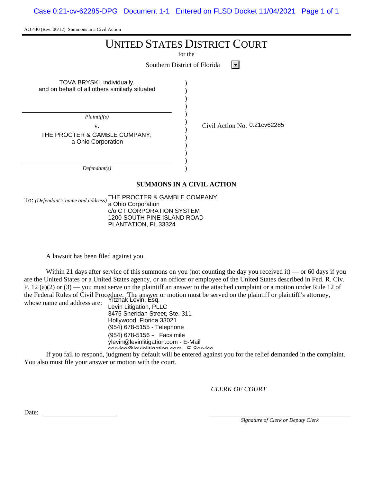AO 440 (Rev. 06/12) Summons in a Civil Action

| <b>UNITED STATES DISTRICT COURT</b><br>for the<br>Southern District of Florida         |                              |  |  |  |  |  |  |
|----------------------------------------------------------------------------------------|------------------------------|--|--|--|--|--|--|
| TOVA BRYSKI, individually,<br>and on behalf of all others similarly situated           |                              |  |  |  |  |  |  |
| Plaintiff(s)<br>V.<br>THE PROCTER & GAMBLE COMPANY,<br>a Ohio Corporation              | Civil Action No. 0:21cv62285 |  |  |  |  |  |  |
| Defendant(s)                                                                           |                              |  |  |  |  |  |  |
| <b>SUMMONS IN A CIVIL ACTION</b>                                                       |                              |  |  |  |  |  |  |
| THE PROCTER & GAMBLE COMPANY,<br>To: (Defendant's name and address)<br>Ohio Compration |                              |  |  |  |  |  |  |

a Ohio Corporation c/o CT CORPORATION SYSTEM 1200 SOUTH PINE ISLAND ROAD PLANTATION, FL 33324

A lawsuit has been filed against you.

Within 21 days after service of this summons on you (not counting the day you received it) — or 60 days if you are the United States or a United States agency, or an officer or employee of the United States described in Fed. R. Civ. P. 12 (a)(2) or  $(3)$  — you must serve on the plaintiff an answer to the attached complaint or a motion under Rule 12 of the Federal Rules of Civil Procedure. The answer or motion must be served on the plaintiff or plaintiff's attorney, Yitzhak Levin, Esq. whose name and address are:

Levin Litigation, PLLC 3475 Sheridan Street, Ste. 311 Hollywood, Florida 33021 (954) 678-5155 - Telephone (954) 678-5156 – Facsimile ylevin@levinlitigation.com - E-Mail service@levinlitigation.com - E-Service

If you fail to respond, judgment by default will be entered against you for the relief demanded in the complaint. You also must file your answer or motion with the court.

*CLERK OF COURT*

Date:

*Signature of Clerk or Deputy Clerk*